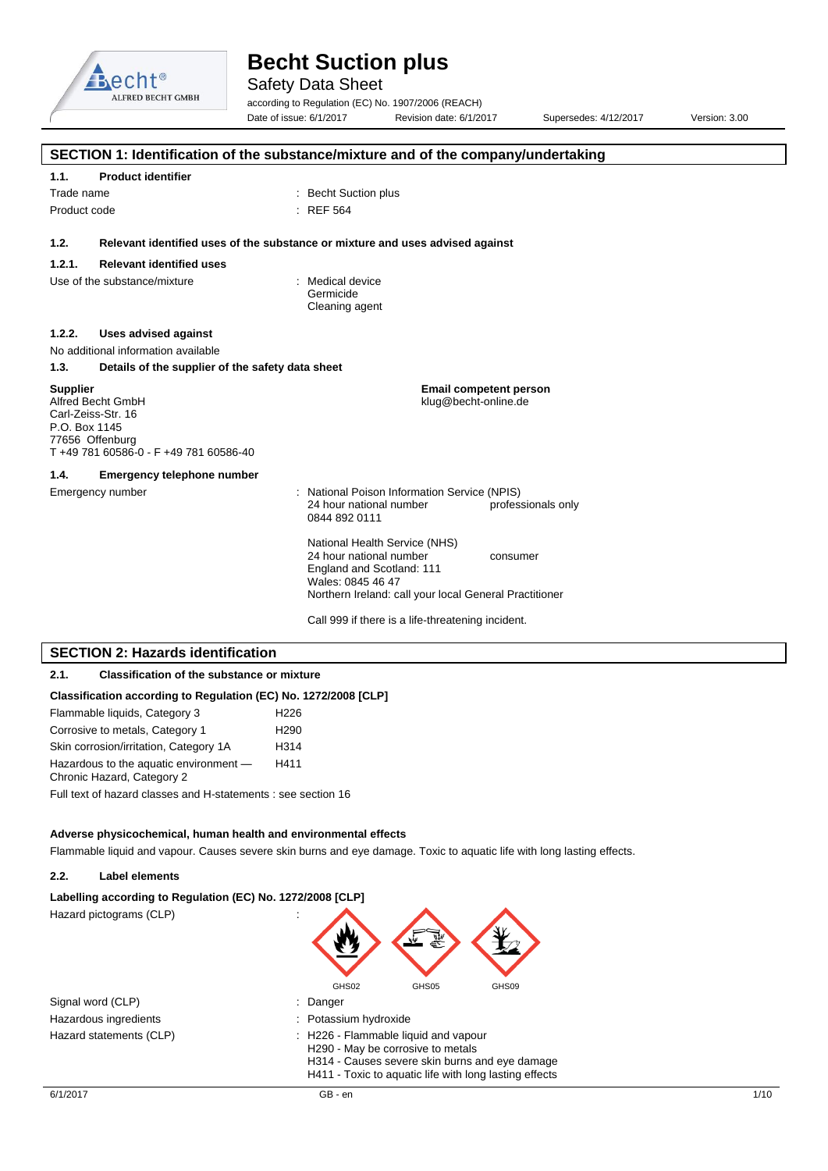

Safety Data Sheet

according to Regulation (EC) No. 1907/2006 (REACH) Date of issue: 6/1/2017 Revision date: 6/1/2017 Supersedes: 4/12/2017 Version: 3.00

|                                                                                                                                          | SECTION 1: Identification of the substance/mixture and of the company/undertaking                 |
|------------------------------------------------------------------------------------------------------------------------------------------|---------------------------------------------------------------------------------------------------|
| 1.1.<br><b>Product identifier</b>                                                                                                        |                                                                                                   |
| Trade name                                                                                                                               | : Becht Suction plus                                                                              |
| Product code                                                                                                                             | : REF 564                                                                                         |
|                                                                                                                                          |                                                                                                   |
| 1.2.                                                                                                                                     | Relevant identified uses of the substance or mixture and uses advised against                     |
| 1.2.1.<br><b>Relevant identified uses</b>                                                                                                |                                                                                                   |
| Use of the substance/mixture                                                                                                             | : Medical device<br>Germicide<br>Cleaning agent                                                   |
| <b>Uses advised against</b><br>1.2.2.                                                                                                    |                                                                                                   |
| No additional information available                                                                                                      |                                                                                                   |
| 1.3.                                                                                                                                     | Details of the supplier of the safety data sheet                                                  |
| <b>Supplier</b><br>Alfred Becht GmbH<br>Carl-Zeiss-Str. 16<br>P.O. Box 1145<br>77656 Offenburg<br>T +49 781 60586-0 - F +49 781 60586-40 | <b>Email competent person</b><br>klug@becht-online.de                                             |
| 1.4.<br><b>Emergency telephone number</b>                                                                                                |                                                                                                   |
| Emergency number                                                                                                                         | : National Poison Information Service (NPIS)                                                      |
|                                                                                                                                          | 24 hour national number<br>professionals only<br>0844 892 0111                                    |
|                                                                                                                                          | National Health Service (NHS)<br>24 hour national number<br>consumer<br>England and Scotland: 111 |
|                                                                                                                                          | Wales: 0845 46 47<br>Northern Ireland: call your local General Practitioner                       |
|                                                                                                                                          |                                                                                                   |
|                                                                                                                                          | Call 999 if there is a life-threatening incident.                                                 |
| <b>SECTION 2: Hazards identification</b>                                                                                                 |                                                                                                   |
| 2.1.<br><b>Classification of the substance or mixture</b>                                                                                |                                                                                                   |
|                                                                                                                                          | Classification according to Regulation (EC) No. 1272/2008 [CLP]                                   |

| 01000111000011 avoor anig to hogalation (EO) ito. 1212/2007          |                  |
|----------------------------------------------------------------------|------------------|
| Flammable liquids, Category 3                                        | H <sub>226</sub> |
| Corrosive to metals, Category 1                                      | H <sub>290</sub> |
| Skin corrosion/irritation, Category 1A                               | H314             |
| Hazardous to the aquatic environment -<br>Chronic Hazard, Category 2 | H411             |
| Full text of hazard classes and H-statements : see section 16        |                  |

#### **Adverse physicochemical, human health and environmental effects**

Flammable liquid and vapour. Causes severe skin burns and eye damage. Toxic to aquatic life with long lasting effects.

#### **2.2. Label elements**



| Signal word (CLP)       |  |
|-------------------------|--|
| Hazardous ingredients   |  |
| Hazard statements (CLP) |  |

: Danger

- : H226 Flammable liquid and vapour
- H290 May be corrosive to metals

H314 - Causes severe skin burns and eye damage H411 - Toxic to aquatic life with long lasting effects

GHS02 GHS05 GHS09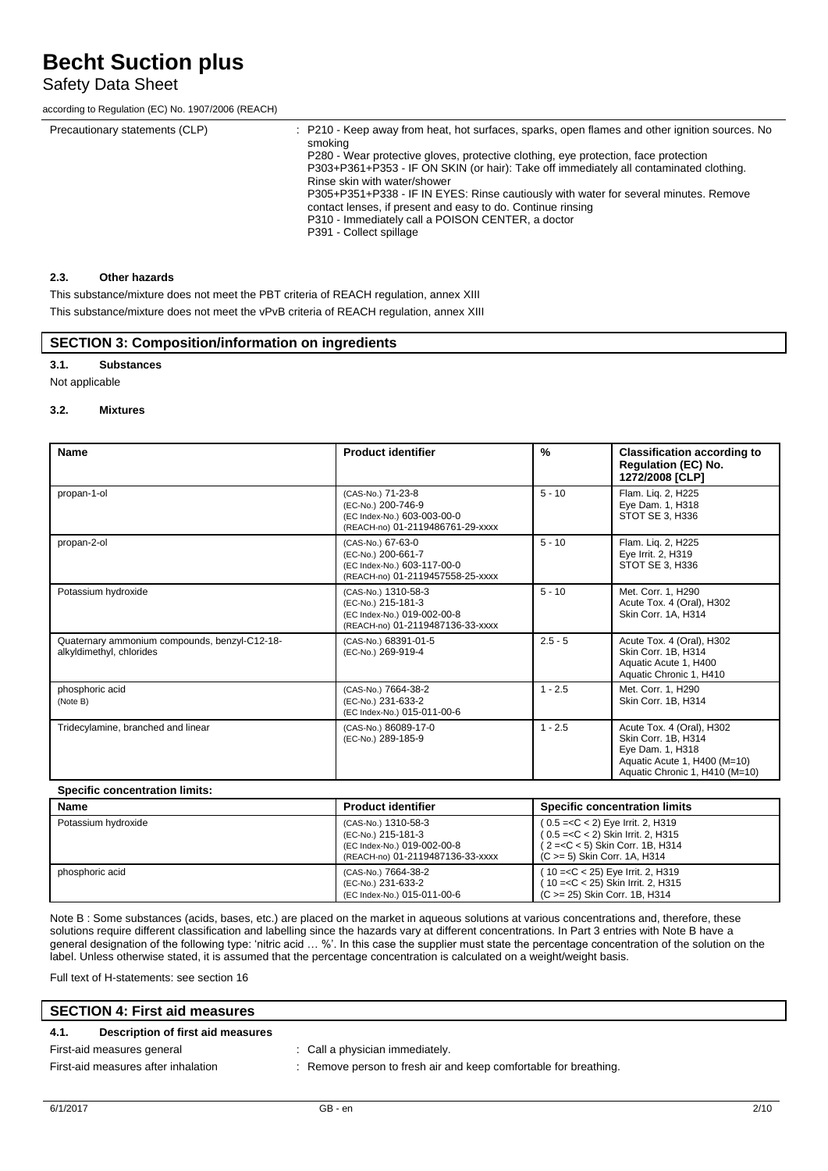## Safety Data Sheet

according to Regulation (EC) No. 1907/2006 (REACH)

| Precautionary statements (CLP) | : P210 - Keep away from heat, hot surfaces, sparks, open flames and other ignition sources. No<br>smokina<br>P280 - Wear protective gloves, protective clothing, eye protection, face protection<br>P303+P361+P353 - IF ON SKIN (or hair): Take off immediately all contaminated clothing.<br>Rinse skin with water/shower<br>P305+P351+P338 - IF IN EYES: Rinse cautiously with water for several minutes. Remove<br>contact lenses, if present and easy to do. Continue rinsing<br>P310 - Immediately call a POISON CENTER, a doctor<br>P391 - Collect spillage |
|--------------------------------|-------------------------------------------------------------------------------------------------------------------------------------------------------------------------------------------------------------------------------------------------------------------------------------------------------------------------------------------------------------------------------------------------------------------------------------------------------------------------------------------------------------------------------------------------------------------|
|                                |                                                                                                                                                                                                                                                                                                                                                                                                                                                                                                                                                                   |

#### **2.3. Other hazards**

This substance/mixture does not meet the PBT criteria of REACH regulation, annex XIII This substance/mixture does not meet the vPvB criteria of REACH regulation, annex XIII

#### **SECTION 3: Composition/information on ingredients**

#### **3.1. Substances**

Not applicable

#### **3.2. Mixtures**

| <b>Name</b>                                                               | <b>Product identifier</b>                                                                                    | $\frac{0}{0}$ | <b>Classification according to</b><br><b>Regulation (EC) No.</b><br>1272/2008 [CLP]                                                    |
|---------------------------------------------------------------------------|--------------------------------------------------------------------------------------------------------------|---------------|----------------------------------------------------------------------------------------------------------------------------------------|
| propan-1-ol                                                               | (CAS-No.) 71-23-8<br>(EC-No.) 200-746-9<br>(EC Index-No.) 603-003-00-0<br>(REACH-no) 01-2119486761-29-xxxx   | $5 - 10$      | Flam. Liq. 2, H225<br>Eye Dam. 1, H318<br>STOT SE 3, H336                                                                              |
| propan-2-ol                                                               | (CAS-No.) 67-63-0<br>(EC-No.) 200-661-7<br>(EC Index-No.) 603-117-00-0<br>(REACH-no) 01-2119457558-25-xxxx   | $5 - 10$      | Flam. Liq. 2, H225<br>Eye Irrit. 2, H319<br>STOT SE 3, H336                                                                            |
| Potassium hydroxide                                                       | (CAS-No.) 1310-58-3<br>(EC-No.) 215-181-3<br>(EC Index-No.) 019-002-00-8<br>(REACH-no) 01-2119487136-33-xxxx | $5 - 10$      | Met. Corr. 1, H290<br>Acute Tox. 4 (Oral), H302<br>Skin Corr. 1A, H314                                                                 |
| Quaternary ammonium compounds, benzyl-C12-18-<br>alkyldimethyl, chlorides | (CAS-No.) 68391-01-5<br>(EC-No.) 269-919-4                                                                   | $2.5 - 5$     | Acute Tox. 4 (Oral), H302<br>Skin Corr. 1B. H314<br>Aquatic Acute 1, H400<br>Aquatic Chronic 1, H410                                   |
| phosphoric acid<br>(Note B)                                               | (CAS-No.) 7664-38-2<br>(EC-No.) 231-633-2<br>(EC Index-No.) 015-011-00-6                                     | $1 - 2.5$     | Met. Corr. 1. H290<br>Skin Corr. 1B, H314                                                                                              |
| Tridecylamine, branched and linear                                        | (CAS-No.) 86089-17-0<br>(EC-No.) 289-185-9                                                                   | $1 - 2.5$     | Acute Tox. 4 (Oral), H302<br>Skin Corr. 1B, H314<br>Eye Dam. 1, H318<br>Aquatic Acute 1, H400 (M=10)<br>Aquatic Chronic 1, H410 (M=10) |

| Name                | <b>Product identifier</b>                                                                                    | <b>Specific concentration limits</b>                                                                                                                                                                    |
|---------------------|--------------------------------------------------------------------------------------------------------------|---------------------------------------------------------------------------------------------------------------------------------------------------------------------------------------------------------|
| Potassium hydroxide | (CAS-No.) 1310-58-3<br>(EC-No.) 215-181-3<br>(EC Index-No.) 019-002-00-8<br>(REACH-no) 01-2119487136-33-xxxx | $(0.5 = < C < 2)$ Eye Irrit. 2, H319<br>( 0.5 = <c 2)="" 2,="" <="" h315<br="" irrit.="" skin="">(2=<c 1b,="" 5)="" <="" corr.="" h314<br="" skin=""><math>(C \ge 5)</math> Skin Corr. 1A, H314</c></c> |
| phosphoric acid     | (CAS-No.) 7664-38-2<br>(EC-No.) 231-633-2<br>(EC Index-No.) 015-011-00-6                                     | ( 10 = <c 2,="" 25)="" <="" eye="" h319<br="" irrit.="">(10 = &lt; C &lt; 25) Skin Irrit. 2, H315<br/>(C &gt; = 25) Skin Corr. 1B, H314</c>                                                             |

Note B : Some substances (acids, bases, etc.) are placed on the market in aqueous solutions at various concentrations and, therefore, these solutions require different classification and labelling since the hazards vary at different concentrations. In Part 3 entries with Note B have a general designation of the following type: 'nitric acid … %'. In this case the supplier must state the percentage concentration of the solution on the label. Unless otherwise stated, it is assumed that the percentage concentration is calculated on a weight/weight basis.

Full text of H-statements: see section 16

#### **SECTION 4: First aid measures**

#### **4.1. Description of first aid measures**

First-aid measures general interval in the call a physician immediately.

First-aid measures after inhalation : Remove person to fresh air and keep comfortable for breathing.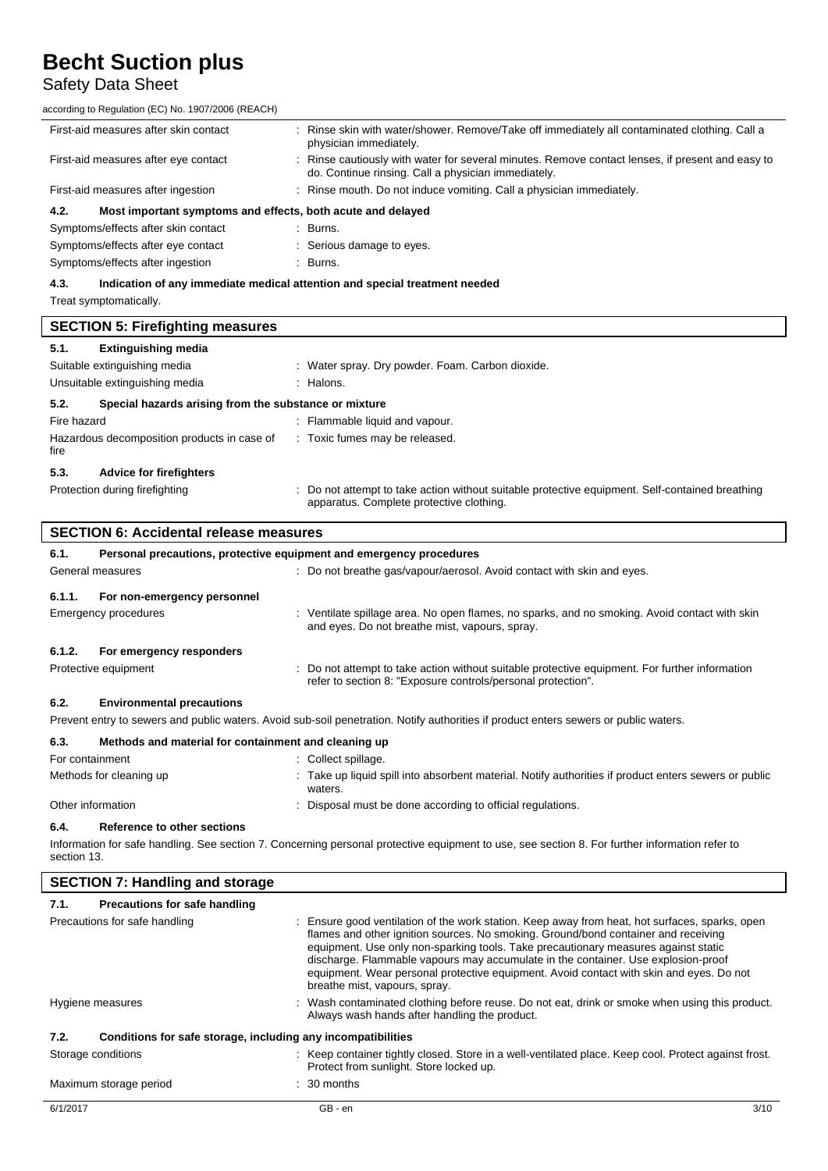## Safety Data Sheet

according to Regulation (EC) No. 1907/2006 (REACH)

| First-aid measures after skin contact                               | : Rinse skin with water/shower. Remove/Take off immediately all contaminated clothing. Call a<br>physician immediately.                                 |
|---------------------------------------------------------------------|---------------------------------------------------------------------------------------------------------------------------------------------------------|
| First-aid measures after eye contact                                | : Rinse cautiously with water for several minutes. Remove contact lenses, if present and easy to<br>do. Continue rinsing. Call a physician immediately. |
| First-aid measures after ingestion                                  | : Rinse mouth. Do not induce vomiting. Call a physician immediately.                                                                                    |
| Most important symptoms and effects, both acute and delayed<br>4.2. |                                                                                                                                                         |
| Symptoms/effects after skin contact                                 | $\therefore$ Burns.                                                                                                                                     |
| Symptoms/effects after eye contact                                  | : Serious damage to eyes.                                                                                                                               |

Symptoms/effects after ingestion : Burns.

#### **4.3. Indication of any immediate medical attention and special treatment needed**

Treat symptomatically.

|                                                               | <b>SECTION 5: Firefighting measures</b>     |   |                                                                                                                                           |
|---------------------------------------------------------------|---------------------------------------------|---|-------------------------------------------------------------------------------------------------------------------------------------------|
| 5.1.                                                          | <b>Extinguishing media</b>                  |   |                                                                                                                                           |
|                                                               | Suitable extinguishing media                |   | : Water spray. Dry powder. Foam. Carbon dioxide.                                                                                          |
|                                                               | Unsuitable extinguishing media              |   | : Halons.                                                                                                                                 |
| Special hazards arising from the substance or mixture<br>5.2. |                                             |   |                                                                                                                                           |
| Fire hazard                                                   |                                             |   | : Flammable liquid and vapour.                                                                                                            |
| fire                                                          | Hazardous decomposition products in case of |   | : Toxic fumes may be released.                                                                                                            |
| 5.3.                                                          | <b>Advice for firefighters</b>              |   |                                                                                                                                           |
|                                                               | Protection during firefighting              | ÷ | Do not attempt to take action without suitable protective equipment. Self-contained breathing<br>apparatus. Complete protective clothing. |

| SECTION 6: Accidental release measures |  |
|----------------------------------------|--|
|                                        |  |

| Personal precautions, protective equipment and emergency procedures<br>6.1. |                             |  |                                                                                                                                                                |
|-----------------------------------------------------------------------------|-----------------------------|--|----------------------------------------------------------------------------------------------------------------------------------------------------------------|
| General measures                                                            |                             |  | : Do not breathe gas/vapour/aerosol. Avoid contact with skin and eyes.                                                                                         |
| 6.1.1.                                                                      | For non-emergency personnel |  |                                                                                                                                                                |
|                                                                             | <b>Emergency procedures</b> |  | : Ventilate spillage area. No open flames, no sparks, and no smoking. Avoid contact with skin<br>and eyes. Do not breathe mist, vapours, spray.                |
| 6.1.2.                                                                      | For emergency responders    |  |                                                                                                                                                                |
|                                                                             | Protective equipment        |  | : Do not attempt to take action without suitable protective equipment. For further information<br>refer to section 8: "Exposure controls/personal protection". |

#### **6.2. Environmental precautions**

Prevent entry to sewers and public waters. Avoid sub-soil penetration. Notify authorities if product enters sewers or public waters.

| 6.3.              | Methods and material for containment and cleaning up |  |                                                                                                                |
|-------------------|------------------------------------------------------|--|----------------------------------------------------------------------------------------------------------------|
| For containment   |                                                      |  | : Collect spillage.                                                                                            |
|                   | Methods for cleaning up                              |  | Take up liquid spill into absorbent material. Notify authorities if product enters sewers or public<br>waters. |
| Other information |                                                      |  | Disposal must be done according to official regulations.                                                       |

#### **6.4. Reference to other sections**

Information for safe handling. See section 7. Concerning personal protective equipment to use, see section 8. For further information refer to section 13.

| <b>SECTION 7: Handling and storage</b>                               |                                                                                                                                                                                                                                                                                                                                                                                                                                                                                             |  |
|----------------------------------------------------------------------|---------------------------------------------------------------------------------------------------------------------------------------------------------------------------------------------------------------------------------------------------------------------------------------------------------------------------------------------------------------------------------------------------------------------------------------------------------------------------------------------|--|
| 7.1.<br>Precautions for safe handling                                |                                                                                                                                                                                                                                                                                                                                                                                                                                                                                             |  |
| Precautions for safe handling                                        | : Ensure good ventilation of the work station. Keep away from heat, hot surfaces, sparks, open<br>flames and other ignition sources. No smoking. Ground/bond container and receiving<br>equipment. Use only non-sparking tools. Take precautionary measures against static<br>discharge. Flammable vapours may accumulate in the container. Use explosion-proof<br>equipment. Wear personal protective equipment. Avoid contact with skin and eyes. Do not<br>breathe mist, vapours, spray. |  |
| Hygiene measures                                                     | : Wash contaminated clothing before reuse. Do not eat, drink or smoke when using this product.<br>Always wash hands after handling the product.                                                                                                                                                                                                                                                                                                                                             |  |
| 7.2.<br>Conditions for safe storage, including any incompatibilities |                                                                                                                                                                                                                                                                                                                                                                                                                                                                                             |  |
| Storage conditions                                                   | : Keep container tightly closed. Store in a well-ventilated place. Keep cool. Protect against frost.<br>Protect from sunlight. Store locked up.                                                                                                                                                                                                                                                                                                                                             |  |
| Maximum storage period                                               | $\therefore$ 30 months                                                                                                                                                                                                                                                                                                                                                                                                                                                                      |  |
| 6/1/2017                                                             | 3/10<br>GB - en                                                                                                                                                                                                                                                                                                                                                                                                                                                                             |  |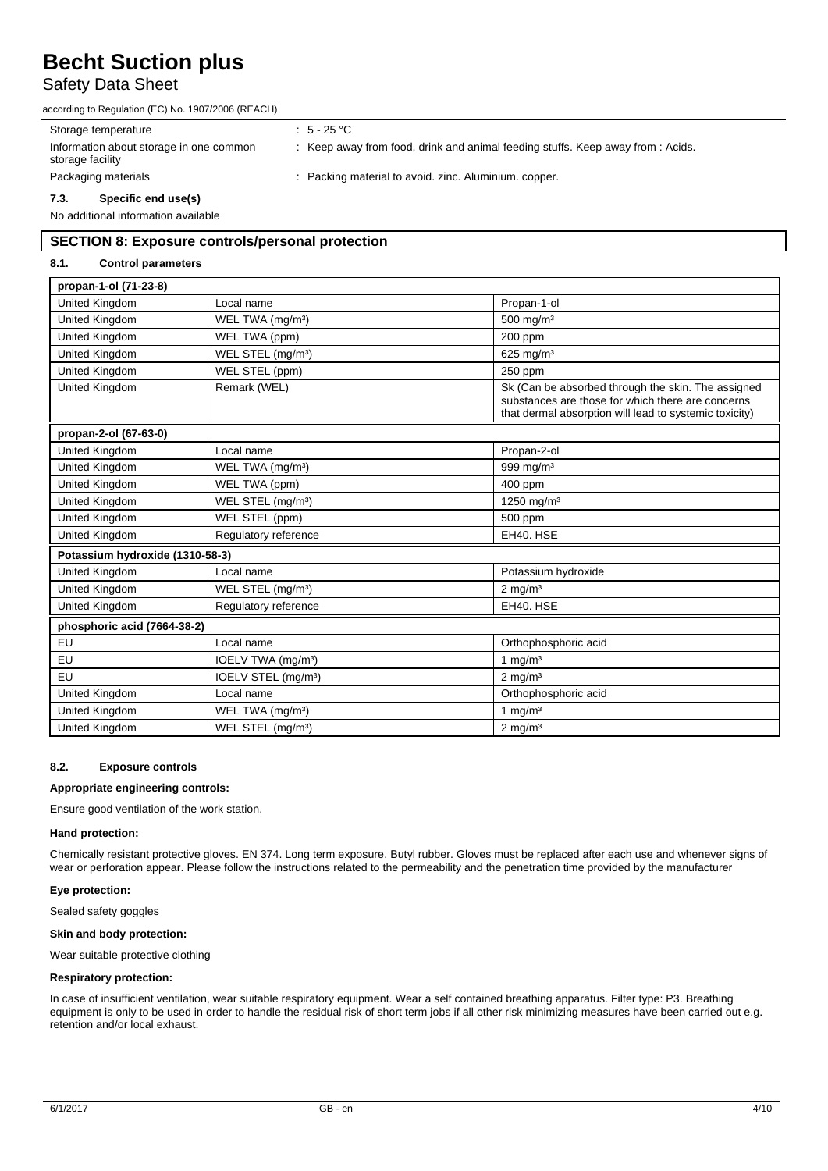### Safety Data Sheet

according to Regulation (EC) No. 1907/2006 (REACH)

Storage temperature  $\qquad \qquad : 5 - 25 \text{ °C}$ 

: Keep away from food, drink and animal feeding stuffs. Keep away from : Acids.

storage facility

Information about storage in one common

Packaging materials **in a computer in the contract of the Packing material to avoid. zinc. Aluminium. copper.** 

#### **7.3. Specific end use(s)**

No additional information available

### **SECTION 8: Exposure controls/personal protection**

#### **8.1. Control parameters**

| propan-1-ol (71-23-8)           |                                 |                                                                                                                                                                   |  |  |
|---------------------------------|---------------------------------|-------------------------------------------------------------------------------------------------------------------------------------------------------------------|--|--|
| United Kingdom                  | Local name                      | Propan-1-ol                                                                                                                                                       |  |  |
| United Kingdom                  | WEL TWA (mg/m <sup>3</sup> )    | 500 mg/m <sup>3</sup>                                                                                                                                             |  |  |
| <b>United Kingdom</b>           | WEL TWA (ppm)                   | 200 ppm                                                                                                                                                           |  |  |
| <b>United Kingdom</b>           | WEL STEL (mg/m <sup>3</sup> )   | 625 mg/m $3$                                                                                                                                                      |  |  |
| United Kingdom                  | WEL STEL (ppm)                  | 250 ppm                                                                                                                                                           |  |  |
| United Kingdom                  | Remark (WEL)                    | Sk (Can be absorbed through the skin. The assigned<br>substances are those for which there are concerns<br>that dermal absorption will lead to systemic toxicity) |  |  |
| propan-2-ol (67-63-0)           |                                 |                                                                                                                                                                   |  |  |
| United Kingdom                  | Local name                      | Propan-2-ol                                                                                                                                                       |  |  |
| <b>United Kingdom</b>           | WEL TWA (mg/m <sup>3</sup> )    | 999 mg/m <sup>3</sup>                                                                                                                                             |  |  |
| <b>United Kingdom</b>           | WEL TWA (ppm)                   | 400 ppm                                                                                                                                                           |  |  |
| <b>United Kingdom</b>           | WEL STEL (mg/m <sup>3</sup> )   | 1250 mg/m <sup>3</sup>                                                                                                                                            |  |  |
| <b>United Kingdom</b>           | WEL STEL (ppm)                  | 500 ppm                                                                                                                                                           |  |  |
| United Kingdom                  | Regulatory reference            | EH40. HSE                                                                                                                                                         |  |  |
| Potassium hydroxide (1310-58-3) |                                 |                                                                                                                                                                   |  |  |
| <b>United Kingdom</b>           | Local name                      | Potassium hydroxide                                                                                                                                               |  |  |
| United Kingdom                  | WEL STEL (mg/m <sup>3</sup> )   | $2$ mg/m <sup>3</sup>                                                                                                                                             |  |  |
| United Kingdom                  | Regulatory reference            | EH40. HSE                                                                                                                                                         |  |  |
| phosphoric acid (7664-38-2)     |                                 |                                                                                                                                                                   |  |  |
| EU                              | Local name                      | Orthophosphoric acid                                                                                                                                              |  |  |
| EU                              | IOELV TWA (mg/m <sup>3</sup> )  | 1 mg/m $3$                                                                                                                                                        |  |  |
| EU                              | IOELV STEL (mg/m <sup>3</sup> ) | $2$ mg/m <sup>3</sup>                                                                                                                                             |  |  |
| United Kingdom                  | Local name                      | Orthophosphoric acid                                                                                                                                              |  |  |
| United Kingdom                  | WEL TWA (mg/m <sup>3</sup> )    | 1 mg/ $m3$                                                                                                                                                        |  |  |
| United Kingdom                  | WEL STEL (mg/m <sup>3</sup> )   | $2 \text{ mg/m}^3$                                                                                                                                                |  |  |

#### **8.2. Exposure controls**

#### **Appropriate engineering controls:**

Ensure good ventilation of the work station.

#### **Hand protection:**

Chemically resistant protective gloves. EN 374. Long term exposure. Butyl rubber. Gloves must be replaced after each use and whenever signs of wear or perforation appear. Please follow the instructions related to the permeability and the penetration time provided by the manufacturer

#### **Eye protection:**

Sealed safety goggles

#### **Skin and body protection:**

Wear suitable protective clothing

#### **Respiratory protection:**

In case of insufficient ventilation, wear suitable respiratory equipment. Wear a self contained breathing apparatus. Filter type: P3. Breathing equipment is only to be used in order to handle the residual risk of short term jobs if all other risk minimizing measures have been carried out e.g. retention and/or local exhaust.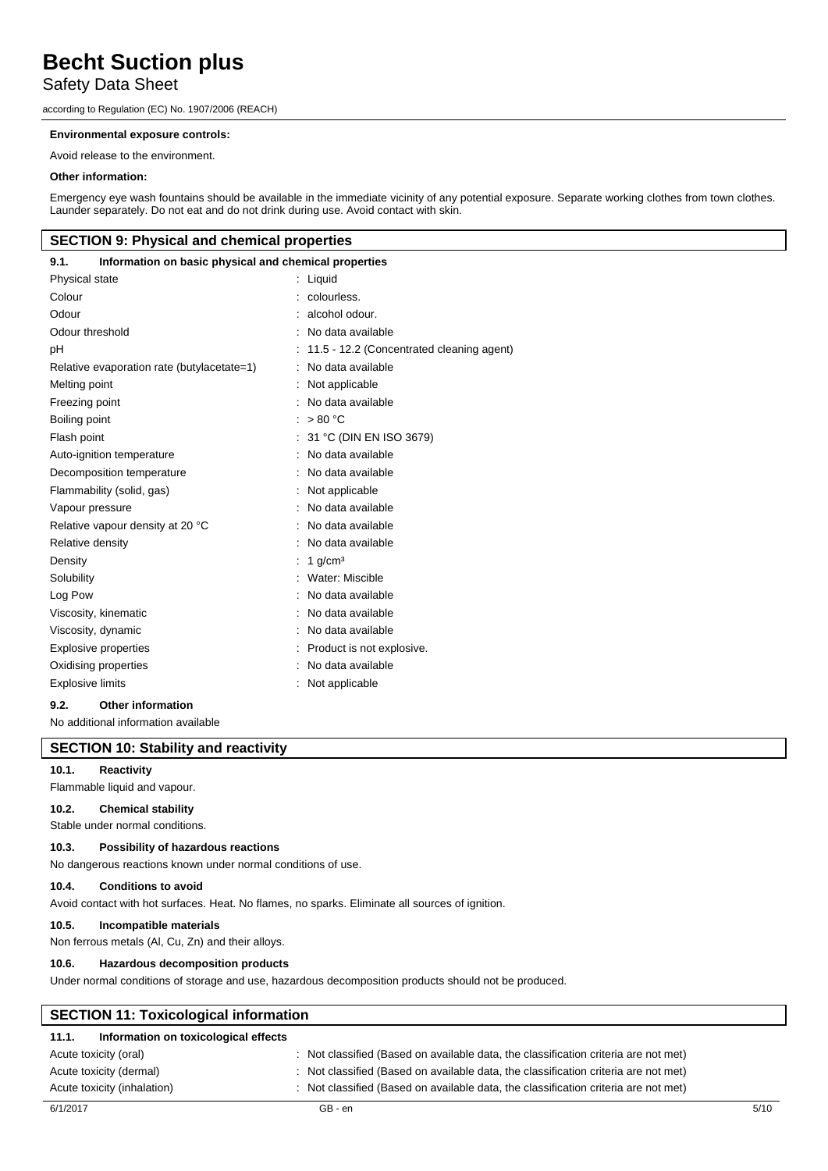### Safety Data Sheet

according to Regulation (EC) No. 1907/2006 (REACH)

#### **Environmental exposure controls:**

Avoid release to the environment.

#### **Other information:**

Emergency eye wash fountains should be available in the immediate vicinity of any potential exposure. Separate working clothes from town clothes. Launder separately. Do not eat and do not drink during use. Avoid contact with skin.

#### **SECTION 9: Physical and chemical properties**

| Information on basic physical and chemical properties<br>9.1. |                                           |
|---------------------------------------------------------------|-------------------------------------------|
| Physical state                                                | : Liquid                                  |
| Colour                                                        | : colourless.                             |
| Odour                                                         | alcohol odour.                            |
| Odour threshold                                               | No data available                         |
| рH                                                            | 11.5 - 12.2 (Concentrated cleaning agent) |
| Relative evaporation rate (butylacetate=1)                    | No data available                         |
| Melting point                                                 | Not applicable                            |
| Freezing point                                                | : No data available                       |
| Boiling point                                                 | : $> 80 °C$                               |
| Flash point                                                   | : $31 °C$ (DIN EN ISO 3679)               |
| Auto-ignition temperature                                     | No data available                         |
| Decomposition temperature                                     | No data available                         |
| Flammability (solid, gas)                                     | Not applicable                            |
| Vapour pressure                                               | No data available                         |
| Relative vapour density at 20 °C                              | No data available                         |
| Relative density                                              | No data available                         |
| Density                                                       | 1 $q/cm3$                                 |
| Solubility                                                    | : Water: Miscible                         |
| Log Pow                                                       | : No data available                       |
| Viscosity, kinematic                                          | : No data available                       |
| Viscosity, dynamic                                            | : No data available                       |
| <b>Explosive properties</b>                                   | : Product is not explosive.               |
| Oxidising properties                                          | No data available                         |
| <b>Explosive limits</b>                                       | Not applicable                            |
|                                                               |                                           |

#### **9.2. Other information**

No additional information available

### **SECTION 10: Stability and reactivity**

#### **10.1. Reactivity**

Flammable liquid and vapour.

#### **10.2. Chemical stability**

Stable under normal conditions.

#### **10.3. Possibility of hazardous reactions**

No dangerous reactions known under normal conditions of use.

#### **10.4. Conditions to avoid**

Avoid contact with hot surfaces. Heat. No flames, no sparks. Eliminate all sources of ignition.

#### **10.5. Incompatible materials**

Non ferrous metals (Al, Cu, Zn) and their alloys.

#### **10.6. Hazardous decomposition products**

Under normal conditions of storage and use, hazardous decomposition products should not be produced.

| <b>SECTION 11: Toxicological information</b>  |                                                                                     |  |  |
|-----------------------------------------------|-------------------------------------------------------------------------------------|--|--|
| Information on toxicological effects<br>11.1. |                                                                                     |  |  |
| Acute toxicity (oral)                         | : Not classified (Based on available data, the classification criteria are not met) |  |  |
| Acute toxicity (dermal)                       | : Not classified (Based on available data, the classification criteria are not met) |  |  |
| Acute toxicity (inhalation)                   | : Not classified (Based on available data, the classification criteria are not met) |  |  |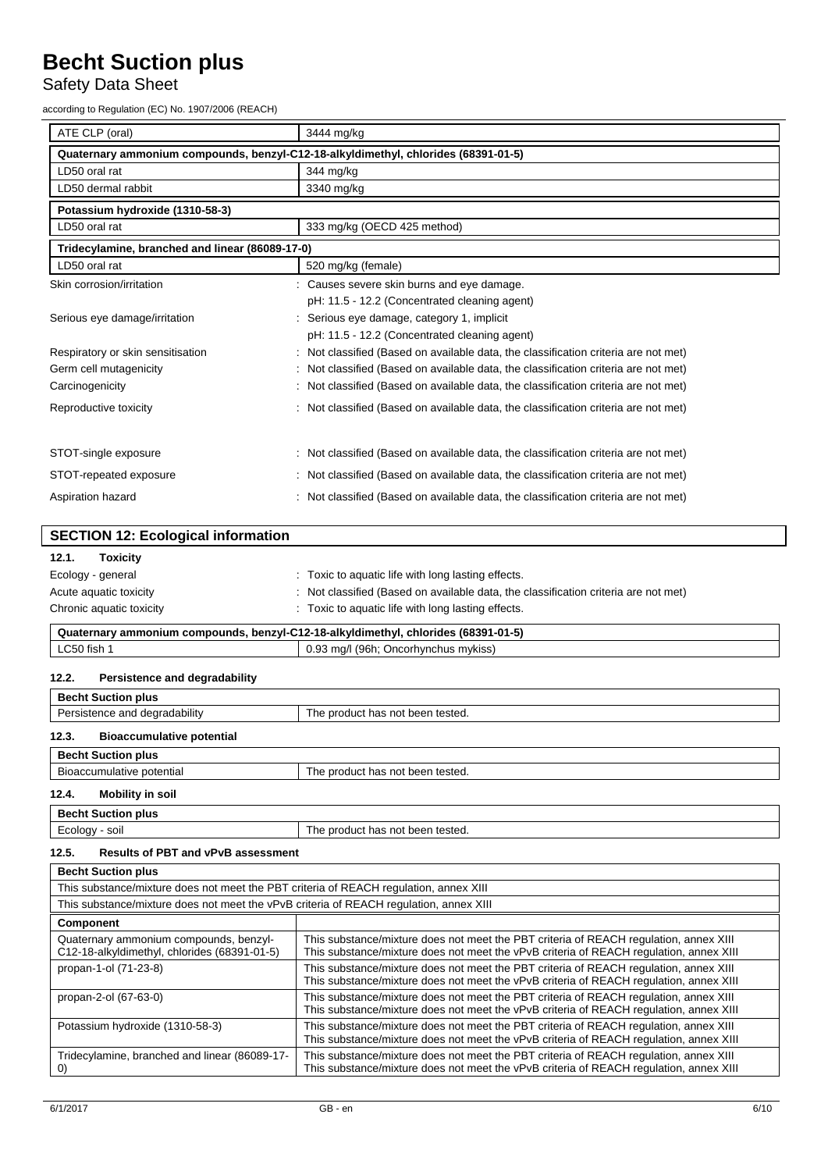# Safety Data Sheet

according to Regulation (EC) No. 1907/2006 (REACH)

| ATE CLP (oral)                                                                     | 3444 mg/kg                                                                          |  |  |  |
|------------------------------------------------------------------------------------|-------------------------------------------------------------------------------------|--|--|--|
| Quaternary ammonium compounds, benzyl-C12-18-alkyldimethyl, chlorides (68391-01-5) |                                                                                     |  |  |  |
| LD50 oral rat                                                                      | 344 mg/kg                                                                           |  |  |  |
| LD50 dermal rabbit                                                                 | 3340 mg/kg                                                                          |  |  |  |
| Potassium hydroxide (1310-58-3)                                                    |                                                                                     |  |  |  |
| LD50 oral rat                                                                      | 333 mg/kg (OECD 425 method)                                                         |  |  |  |
| Tridecylamine, branched and linear (86089-17-0)                                    |                                                                                     |  |  |  |
| LD50 oral rat                                                                      | 520 mg/kg (female)                                                                  |  |  |  |
| Skin corrosion/irritation                                                          | : Causes severe skin burns and eye damage.                                          |  |  |  |
|                                                                                    | pH: 11.5 - 12.2 (Concentrated cleaning agent)                                       |  |  |  |
| Serious eye damage/irritation                                                      | : Serious eye damage, category 1, implicit                                          |  |  |  |
|                                                                                    | pH: 11.5 - 12.2 (Concentrated cleaning agent)                                       |  |  |  |
| Respiratory or skin sensitisation                                                  | : Not classified (Based on available data, the classification criteria are not met) |  |  |  |
| Germ cell mutagenicity                                                             | : Not classified (Based on available data, the classification criteria are not met) |  |  |  |
| Carcinogenicity                                                                    | : Not classified (Based on available data, the classification criteria are not met) |  |  |  |
| Reproductive toxicity                                                              | : Not classified (Based on available data, the classification criteria are not met) |  |  |  |
|                                                                                    |                                                                                     |  |  |  |
| STOT-single exposure                                                               | : Not classified (Based on available data, the classification criteria are not met) |  |  |  |
| STOT-repeated exposure                                                             | : Not classified (Based on available data, the classification criteria are not met) |  |  |  |
| Aspiration hazard                                                                  | : Not classified (Based on available data, the classification criteria are not met) |  |  |  |

| <b>SECTION 12: Ecological information</b>                                          |                                                                                     |
|------------------------------------------------------------------------------------|-------------------------------------------------------------------------------------|
| <b>Toxicity</b><br>12.1.                                                           |                                                                                     |
| Ecology - general                                                                  | : Toxic to aquatic life with long lasting effects.                                  |
| Acute aquatic toxicity                                                             | : Not classified (Based on available data, the classification criteria are not met) |
| Chronic aquatic toxicity                                                           | : Toxic to aquatic life with long lasting effects.                                  |
| Quaternary ammonium compounds, benzyl-C12-18-alkyldimethyl, chlorides (68391-01-5) |                                                                                     |
| LC50 fish 1                                                                        | 0.93 mg/l (96h; Oncorhynchus mykiss)                                                |

#### **12.2. Persistence and degradability**

| <b>Becht Suction plus</b>                 |                                  |  |  |  |
|-------------------------------------------|----------------------------------|--|--|--|
| Persistence and degradability             | The product has not been tested. |  |  |  |
| 12.3.<br><b>Bioaccumulative potential</b> |                                  |  |  |  |
| <b>Becht Suction plus</b>                 |                                  |  |  |  |
| Bioaccumulative potential                 | The product has not been tested. |  |  |  |
|                                           |                                  |  |  |  |

### **12.4. Mobility in soil**

|                | <b>Becht Suction plus</b>                 |                                  |
|----------------|-------------------------------------------|----------------------------------|
| Ecology - soil |                                           | The product has not been tested. |
| 12.5.          | <b>Results of PBT and vPvB assessment</b> |                                  |

| <b>Becht Suction plus</b>                                                              |                                                                                                                                                                                 |  |  |  |
|----------------------------------------------------------------------------------------|---------------------------------------------------------------------------------------------------------------------------------------------------------------------------------|--|--|--|
| This substance/mixture does not meet the PBT criteria of REACH regulation, annex XIII  |                                                                                                                                                                                 |  |  |  |
|                                                                                        | This substance/mixture does not meet the vPvB criteria of REACH regulation, annex XIII                                                                                          |  |  |  |
| <b>Component</b>                                                                       |                                                                                                                                                                                 |  |  |  |
| Quaternary ammonium compounds, benzyl-<br>C12-18-alkyldimethyl, chlorides (68391-01-5) | This substance/mixture does not meet the PBT criteria of REACH regulation, annex XIII<br>This substance/mixture does not meet the vPvB criteria of REACH regulation, annex XIII |  |  |  |
| propan-1-ol (71-23-8)                                                                  | This substance/mixture does not meet the PBT criteria of REACH regulation, annex XIII<br>This substance/mixture does not meet the vPvB criteria of REACH regulation, annex XIII |  |  |  |
| propan-2-ol (67-63-0)                                                                  | This substance/mixture does not meet the PBT criteria of REACH regulation, annex XIII<br>This substance/mixture does not meet the vPvB criteria of REACH regulation, annex XIII |  |  |  |
| Potassium hydroxide (1310-58-3)                                                        | This substance/mixture does not meet the PBT criteria of REACH regulation, annex XIII<br>This substance/mixture does not meet the vPvB criteria of REACH regulation, annex XIII |  |  |  |
| Tridecylamine, branched and linear (86089-17-<br>O)                                    | This substance/mixture does not meet the PBT criteria of REACH regulation, annex XIII<br>This substance/mixture does not meet the vPvB criteria of REACH regulation, annex XIII |  |  |  |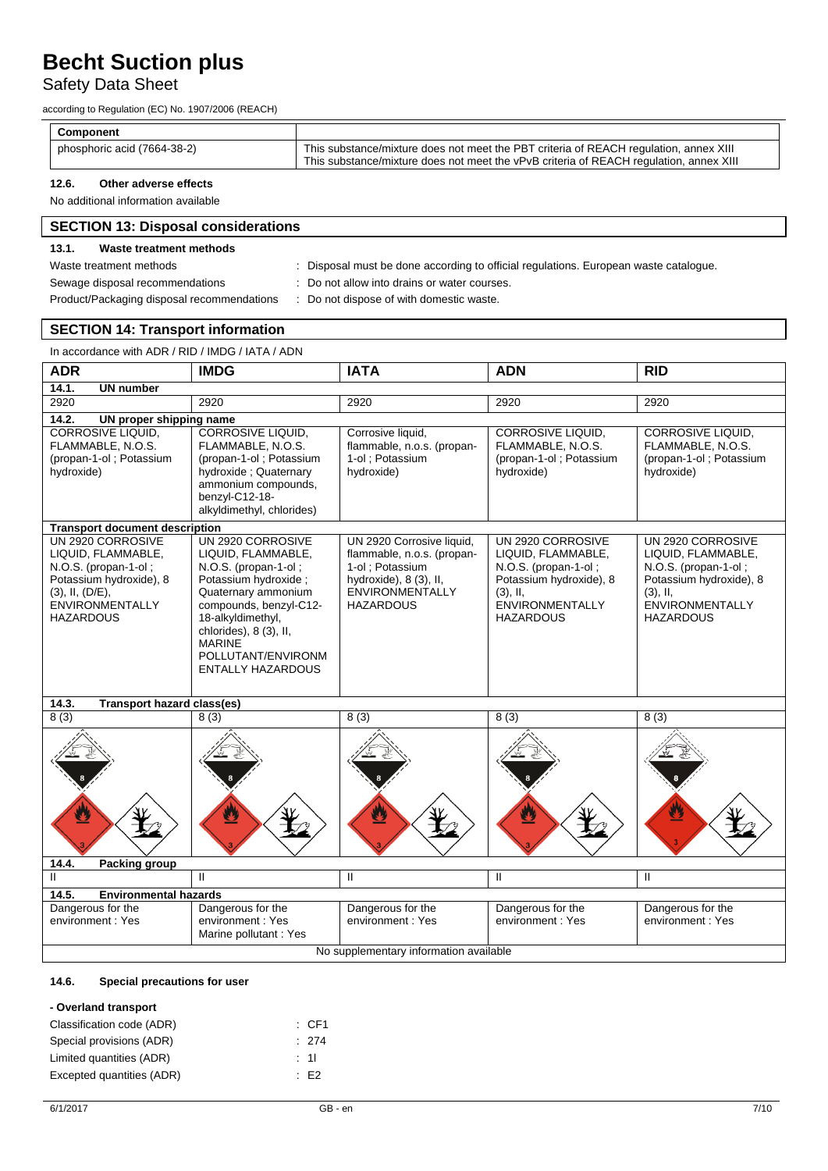## Safety Data Sheet

according to Regulation (EC) No. 1907/2006 (REACH)

| <b>Component</b>            |                                                                                                                                                                                 |
|-----------------------------|---------------------------------------------------------------------------------------------------------------------------------------------------------------------------------|
| phosphoric acid (7664-38-2) | This substance/mixture does not meet the PBT criteria of REACH regulation, annex XIII<br>This substance/mixture does not meet the vPvB criteria of REACH regulation, annex XIII |

#### **12.6. Other adverse effects**

No additional information available

### **SECTION 13: Disposal considerations**

#### **13.1. Waste treatment methods**

Waste treatment methods **interpretatal must be done** according to official regulations. European waste catalogue.

- Sewage disposal recommendations : Do not allow into drains or water courses.
- Product/Packaging disposal recommendations : Do not dispose of with domestic waste.

### **SECTION 14: Transport information**

| In accordance with ADR / RID / IMDG / IATA / ADN                                                                                                                  |                                                                                                                                                                                                                                                             |                                                                                                                                                    |                                                                                                                                                         |                                                                                                                                                  |  |
|-------------------------------------------------------------------------------------------------------------------------------------------------------------------|-------------------------------------------------------------------------------------------------------------------------------------------------------------------------------------------------------------------------------------------------------------|----------------------------------------------------------------------------------------------------------------------------------------------------|---------------------------------------------------------------------------------------------------------------------------------------------------------|--------------------------------------------------------------------------------------------------------------------------------------------------|--|
| <b>ADR</b>                                                                                                                                                        | <b>IMDG</b>                                                                                                                                                                                                                                                 | <b>IATA</b>                                                                                                                                        | <b>ADN</b>                                                                                                                                              | <b>RID</b>                                                                                                                                       |  |
| 14.1.<br><b>UN number</b>                                                                                                                                         |                                                                                                                                                                                                                                                             |                                                                                                                                                    |                                                                                                                                                         |                                                                                                                                                  |  |
| 2920                                                                                                                                                              | 2920                                                                                                                                                                                                                                                        | 2920                                                                                                                                               | 2920                                                                                                                                                    | 2920                                                                                                                                             |  |
| 14.2.<br>UN proper shipping name                                                                                                                                  |                                                                                                                                                                                                                                                             |                                                                                                                                                    |                                                                                                                                                         |                                                                                                                                                  |  |
| <b>CORROSIVE LIQUID,</b><br>FLAMMABLE, N.O.S.<br>(propan-1-ol; Potassium<br>hydroxide)                                                                            | <b>CORROSIVE LIQUID,</b><br>FLAMMABLE, N.O.S.<br>(propan-1-ol; Potassium<br>hydroxide; Quaternary<br>ammonium compounds,<br>benzyl-C12-18-<br>alkyldimethyl, chlorides)                                                                                     | Corrosive liquid,<br>flammable, n.o.s. (propan-<br>1-ol : Potassium<br>hydroxide)                                                                  | <b>CORROSIVE LIQUID.</b><br>FLAMMABLE, N.O.S.<br>(propan-1-ol; Potassium<br>hydroxide)                                                                  | CORROSIVE LIQUID,<br>FLAMMABLE, N.O.S.<br>(propan-1-ol; Potassium<br>hydroxide)                                                                  |  |
| <b>Transport document description</b>                                                                                                                             |                                                                                                                                                                                                                                                             |                                                                                                                                                    |                                                                                                                                                         |                                                                                                                                                  |  |
| UN 2920 CORROSIVE<br>LIQUID, FLAMMABLE,<br>N.O.S. (propan-1-ol;<br>Potassium hydroxide), 8<br>$(3)$ , II, $(D/E)$ ,<br><b>ENVIRONMENTALLY</b><br><b>HAZARDOUS</b> | UN 2920 CORROSIVE<br>LIQUID, FLAMMABLE,<br>N.O.S. (propan-1-ol;<br>Potassium hydroxide :<br>Quaternary ammonium<br>compounds, benzyl-C12-<br>18-alkyldimethyl,<br>chlorides), 8 (3), II,<br><b>MARINE</b><br>POLLUTANT/ENVIRONM<br><b>ENTALLY HAZARDOUS</b> | UN 2920 Corrosive liquid,<br>flammable, n.o.s. (propan-<br>1-ol; Potassium<br>hydroxide), 8 (3), II,<br><b>ENVIRONMENTALLY</b><br><b>HAZARDOUS</b> | UN 2920 CORROSIVE<br>LIQUID, FLAMMABLE,<br>N.O.S. (propan-1-ol;<br>Potassium hydroxide), 8<br>$(3)$ , II,<br><b>ENVIRONMENTALLY</b><br><b>HAZARDOUS</b> | UN 2920 CORROSIVE<br>LIQUID, FLAMMABLE,<br>N.O.S. (propan-1-ol;<br>Potassium hydroxide), 8<br>$(3)$ , II,<br>ENVIRONMENTALLY<br><b>HAZARDOUS</b> |  |
| 14.3.<br><b>Transport hazard class(es)</b>                                                                                                                        |                                                                                                                                                                                                                                                             |                                                                                                                                                    |                                                                                                                                                         |                                                                                                                                                  |  |
| 8(3)                                                                                                                                                              | 8(3)                                                                                                                                                                                                                                                        | 8(3)                                                                                                                                               | 8(3)                                                                                                                                                    | 8(3)                                                                                                                                             |  |
|                                                                                                                                                                   |                                                                                                                                                                                                                                                             |                                                                                                                                                    |                                                                                                                                                         | 舂                                                                                                                                                |  |
|                                                                                                                                                                   |                                                                                                                                                                                                                                                             |                                                                                                                                                    |                                                                                                                                                         |                                                                                                                                                  |  |

| 14.4.                                  | Packing group                |                                                                |                                       |                                        |                                        |
|----------------------------------------|------------------------------|----------------------------------------------------------------|---------------------------------------|----------------------------------------|----------------------------------------|
|                                        |                              |                                                                |                                       |                                        |                                        |
| 14.5.                                  | <b>Environmental hazards</b> |                                                                |                                       |                                        |                                        |
| Dangerous for the<br>environment: Yes  |                              | Dangerous for the<br>environment: Yes<br>Marine pollutant: Yes | Dangerous for the<br>environment: Yes | Dangerous for the<br>environment : Yes | Dangerous for the<br>environment : Yes |
| No supplementary information available |                              |                                                                |                                       |                                        |                                        |

#### **14.6. Special precautions for user**

#### **- Overland transport**

| Classification code (ADR) | $\therefore$ CF1 |
|---------------------------|------------------|
| Special provisions (ADR)  | : 274            |
| Limited quantities (ADR)  | : 11             |
| Excepted quantities (ADR) | E2               |
|                           |                  |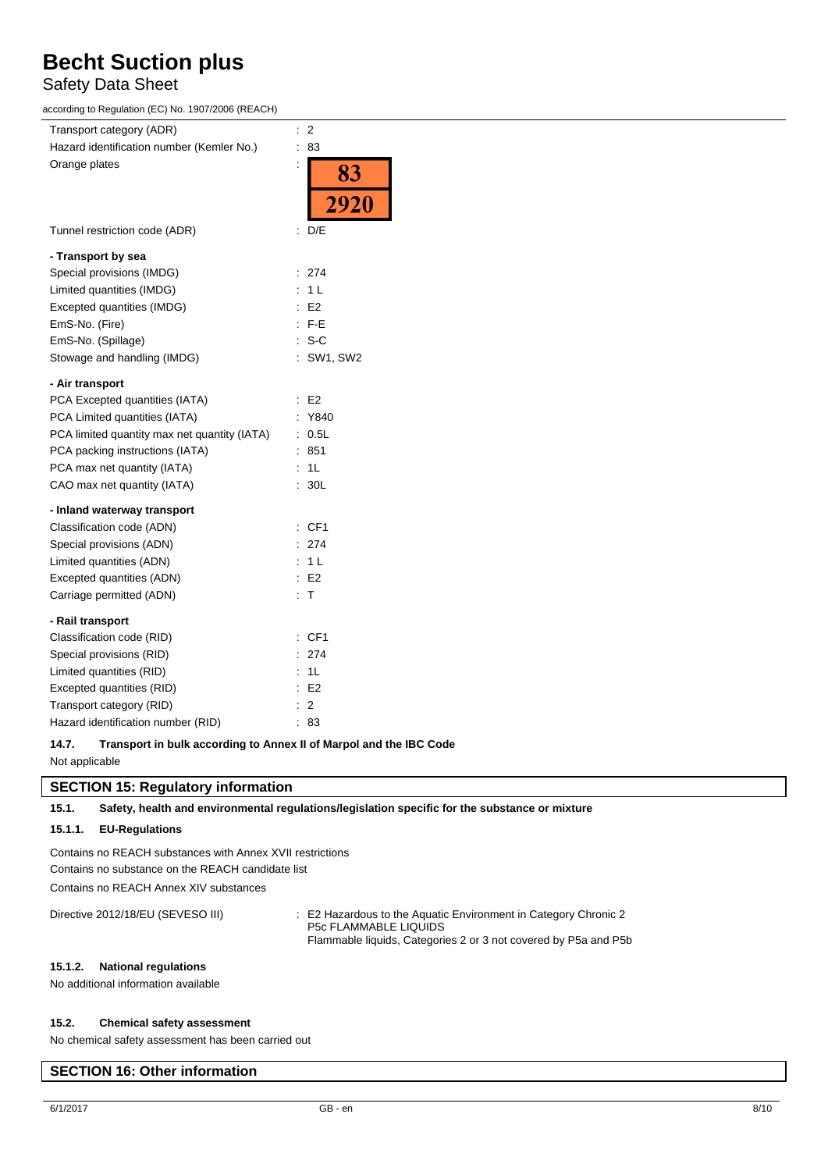### Safety Data Sheet

according to Regulation (EC) No. 1907/2006 (REACH)

| Transport category (ADR)                     | $\therefore$ 2                      |
|----------------------------------------------|-------------------------------------|
| Hazard identification number (Kemler No.)    | : 83                                |
| Orange plates                                | $\ddot{\cdot}$<br>83<br><b>2920</b> |
| Tunnel restriction code (ADR)                | $\therefore$ D/E                    |
| - Transport by sea                           |                                     |
| Special provisions (IMDG)                    | : 274                               |
| Limited quantities (IMDG)                    | : 1L                                |
| Excepted quantities (IMDG)                   | E2                                  |
| EmS-No. (Fire)                               | $\therefore$ F-E                    |
| EmS-No. (Spillage)                           | $: S-C$                             |
| Stowage and handling (IMDG)                  | : SW1, SW2                          |
| - Air transport                              |                                     |
| PCA Excepted quantities (IATA)               | $\therefore$ E2                     |
| PCA Limited quantities (IATA)                | : Y840                              |
| PCA limited quantity max net quantity (IATA) | : 0.5L                              |
| PCA packing instructions (IATA)              | : 851                               |
| PCA max net quantity (IATA)                  | : 1L                                |
| CAO max net quantity (IATA)                  | : 30L                               |
| - Inland waterway transport                  |                                     |
| Classification code (ADN)                    | : CF1                               |
| Special provisions (ADN)                     | : 274                               |
| Limited quantities (ADN)                     | : 1L                                |
| Excepted quantities (ADN)                    | $\therefore$ E2                     |
| Carriage permitted (ADN)                     | $\therefore$ T                      |
| - Rail transport                             |                                     |
| Classification code (RID)                    | : CF1                               |
| Special provisions (RID)                     | : 274                               |
| Limited quantities (RID)                     | : 1L                                |
| Excepted quantities (RID)                    | $\therefore$ E2                     |
| Transport category (RID)                     | $\therefore$ 2                      |
| Hazard identification number (RID)           | : 83                                |
|                                              |                                     |

**14.7. Transport in bulk according to Annex II of Marpol and the IBC Code** Not applicable

#### **SECTION 15: Regulatory information**

**15.1. Safety, health and environmental regulations/legislation specific for the substance or mixture**

#### **15.1.1. EU-Regulations**

Contains no REACH substances with Annex XVII restrictions Contains no substance on the REACH candidate list Contains no REACH Annex XIV substances

Directive 2012/18/EU (SEVESO III) : E2 Hazardous to the Aquatic Environment in Category Chronic 2 P5c FLAMMABLE LIQUIDS Flammable liquids, Categories 2 or 3 not covered by P5a and P5b

#### **15.1.2. National regulations**

No additional information available

#### **15.2. Chemical safety assessment**

No chemical safety assessment has been carried out

### **SECTION 16: Other information**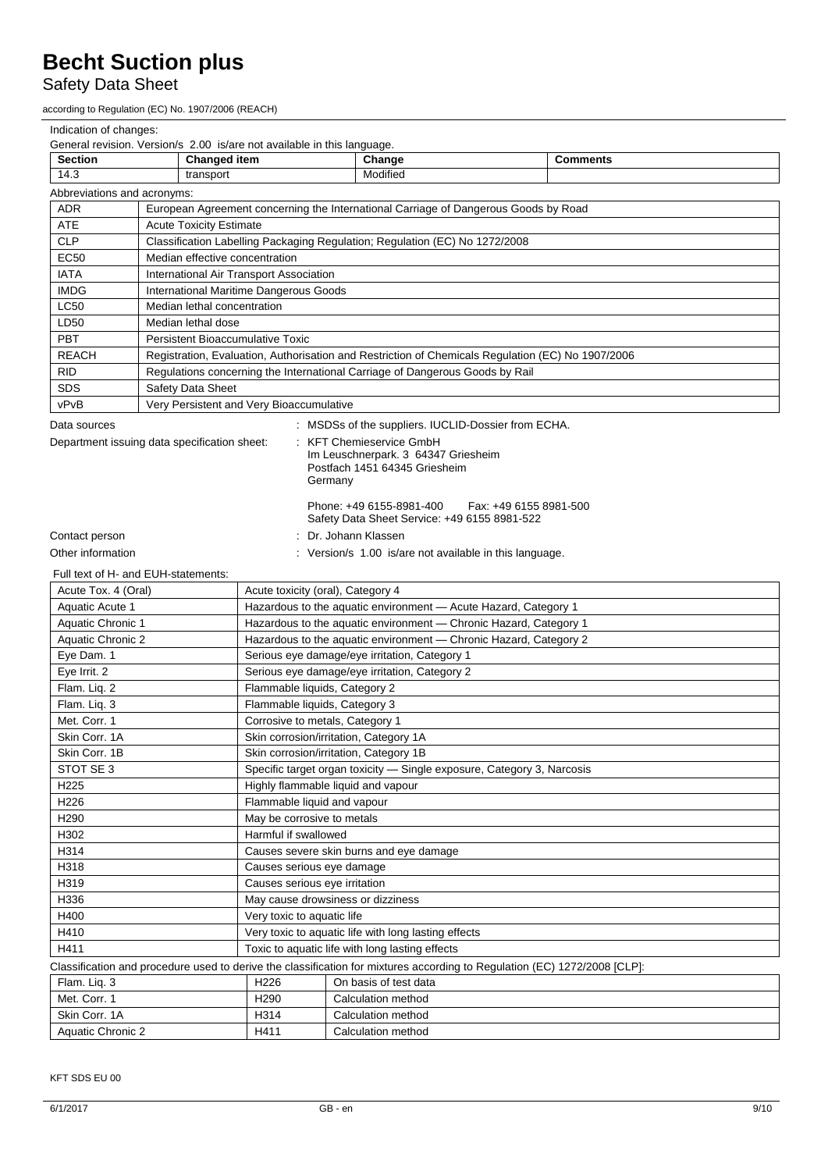# Safety Data Sheet

according to Regulation (EC) No. 1907/2006 (REACH)

| Indication of changes:                                                                                                                                                                                            |                                                                                                   |                                                                        |                                                       |                 |  |  |  |
|-------------------------------------------------------------------------------------------------------------------------------------------------------------------------------------------------------------------|---------------------------------------------------------------------------------------------------|------------------------------------------------------------------------|-------------------------------------------------------|-----------------|--|--|--|
|                                                                                                                                                                                                                   | General revision. Version/s 2.00 is/are not available in this language.                           |                                                                        |                                                       |                 |  |  |  |
| <b>Section</b>                                                                                                                                                                                                    | <b>Changed item</b>                                                                               |                                                                        | Change                                                | <b>Comments</b> |  |  |  |
| 14.3<br>Modified<br>transport                                                                                                                                                                                     |                                                                                                   |                                                                        |                                                       |                 |  |  |  |
| Abbreviations and acronyms:                                                                                                                                                                                       |                                                                                                   |                                                                        |                                                       |                 |  |  |  |
| <b>ADR</b>                                                                                                                                                                                                        | European Agreement concerning the International Carriage of Dangerous Goods by Road               |                                                                        |                                                       |                 |  |  |  |
| ATE                                                                                                                                                                                                               | <b>Acute Toxicity Estimate</b>                                                                    |                                                                        |                                                       |                 |  |  |  |
| <b>CLP</b>                                                                                                                                                                                                        | Classification Labelling Packaging Regulation; Regulation (EC) No 1272/2008                       |                                                                        |                                                       |                 |  |  |  |
| <b>EC50</b>                                                                                                                                                                                                       | Median effective concentration                                                                    |                                                                        |                                                       |                 |  |  |  |
| <b>IATA</b>                                                                                                                                                                                                       | International Air Transport Association                                                           |                                                                        |                                                       |                 |  |  |  |
| <b>IMDG</b>                                                                                                                                                                                                       | International Maritime Dangerous Goods                                                            |                                                                        |                                                       |                 |  |  |  |
| <b>LC50</b>                                                                                                                                                                                                       | Median lethal concentration                                                                       |                                                                        |                                                       |                 |  |  |  |
| LD50                                                                                                                                                                                                              | Median lethal dose                                                                                |                                                                        |                                                       |                 |  |  |  |
| <b>PBT</b>                                                                                                                                                                                                        | <b>Persistent Bioaccumulative Toxic</b>                                                           |                                                                        |                                                       |                 |  |  |  |
| <b>REACH</b>                                                                                                                                                                                                      | Registration, Evaluation, Authorisation and Restriction of Chemicals Regulation (EC) No 1907/2006 |                                                                        |                                                       |                 |  |  |  |
| <b>RID</b>                                                                                                                                                                                                        | Regulations concerning the International Carriage of Dangerous Goods by Rail                      |                                                                        |                                                       |                 |  |  |  |
| <b>SDS</b>                                                                                                                                                                                                        | Safety Data Sheet                                                                                 |                                                                        |                                                       |                 |  |  |  |
| vPvB                                                                                                                                                                                                              | Very Persistent and Very Bioaccumulative                                                          |                                                                        |                                                       |                 |  |  |  |
| Data sources                                                                                                                                                                                                      |                                                                                                   |                                                                        | : MSDSs of the suppliers. IUCLID-Dossier from ECHA.   |                 |  |  |  |
| Department issuing data specification sheet:<br>: KFT Chemieservice GmbH<br>Im Leuschnerpark. 3 64347 Griesheim<br>Postfach 1451 64345 Griesheim<br>Germany<br>Phone: +49 6155-8981-400<br>Fax: +49 6155 8981-500 |                                                                                                   |                                                                        |                                                       |                 |  |  |  |
|                                                                                                                                                                                                                   |                                                                                                   |                                                                        | Safety Data Sheet Service: +49 6155 8981-522          |                 |  |  |  |
| Contact person                                                                                                                                                                                                    | Dr. Johann Klassen                                                                                |                                                                        |                                                       |                 |  |  |  |
| Other information                                                                                                                                                                                                 |                                                                                                   |                                                                        | Version/s 1.00 is/are not available in this language. |                 |  |  |  |
|                                                                                                                                                                                                                   | Full text of H- and EUH-statements:                                                               |                                                                        |                                                       |                 |  |  |  |
| Acute Tox. 4 (Oral)<br>Acute toxicity (oral), Category 4                                                                                                                                                          |                                                                                                   |                                                                        |                                                       |                 |  |  |  |
| Aquatic Acute 1                                                                                                                                                                                                   |                                                                                                   | Hazardous to the aquatic environment - Acute Hazard, Category 1        |                                                       |                 |  |  |  |
| Aquatic Chronic 1                                                                                                                                                                                                 |                                                                                                   | Chronic Hazard, Category 1<br>Hazardous to the aquatic environment -   |                                                       |                 |  |  |  |
| Aquatic Chronic 2                                                                                                                                                                                                 |                                                                                                   | Hazardous to the aquatic environment - Chronic Hazard, Category 2      |                                                       |                 |  |  |  |
| Eye Dam. 1                                                                                                                                                                                                        |                                                                                                   | Serious eye damage/eye irritation, Category 1                          |                                                       |                 |  |  |  |
| Eye Irrit. 2                                                                                                                                                                                                      |                                                                                                   | Serious eye damage/eye irritation, Category 2                          |                                                       |                 |  |  |  |
| Flam. Liq. 2                                                                                                                                                                                                      |                                                                                                   | Flammable liquids, Category 2                                          |                                                       |                 |  |  |  |
| Flam. Liq. 3                                                                                                                                                                                                      |                                                                                                   | Flammable liquids, Category 3                                          |                                                       |                 |  |  |  |
| Met. Corr. 1                                                                                                                                                                                                      |                                                                                                   | Corrosive to metals, Category 1                                        |                                                       |                 |  |  |  |
| Skin Corr. 1A                                                                                                                                                                                                     |                                                                                                   | Skin corrosion/irritation, Category 1A                                 |                                                       |                 |  |  |  |
| Skin Corr. 1B                                                                                                                                                                                                     |                                                                                                   | Skin corrosion/irritation, Category 1B                                 |                                                       |                 |  |  |  |
| STOT SE 3                                                                                                                                                                                                         |                                                                                                   | Specific target organ toxicity - Single exposure, Category 3, Narcosis |                                                       |                 |  |  |  |
| H <sub>225</sub>                                                                                                                                                                                                  |                                                                                                   | Highly flammable liquid and vapour                                     |                                                       |                 |  |  |  |
| H226                                                                                                                                                                                                              |                                                                                                   | Flammable liquid and vapour                                            |                                                       |                 |  |  |  |
| H290                                                                                                                                                                                                              |                                                                                                   | May be corrosive to metals                                             |                                                       |                 |  |  |  |
| H302                                                                                                                                                                                                              |                                                                                                   | Harmful if swallowed                                                   |                                                       |                 |  |  |  |
| H314                                                                                                                                                                                                              |                                                                                                   | Causes severe skin burns and eye damage                                |                                                       |                 |  |  |  |
| H318                                                                                                                                                                                                              |                                                                                                   | Causes serious eye damage                                              |                                                       |                 |  |  |  |
| H319                                                                                                                                                                                                              |                                                                                                   | Causes serious eye irritation                                          |                                                       |                 |  |  |  |
| H336                                                                                                                                                                                                              |                                                                                                   |                                                                        |                                                       |                 |  |  |  |
|                                                                                                                                                                                                                   | May cause drowsiness or dizziness                                                                 |                                                                        |                                                       |                 |  |  |  |
| H400                                                                                                                                                                                                              | Very toxic to aquatic life                                                                        |                                                                        |                                                       |                 |  |  |  |
| H410                                                                                                                                                                                                              | Very toxic to aquatic life with long lasting effects                                              |                                                                        |                                                       |                 |  |  |  |
| H411<br>Toxic to aquatic life with long lasting effects                                                                                                                                                           |                                                                                                   |                                                                        |                                                       |                 |  |  |  |
| Classification and procedure used to derive the classification for mixtures according to Regulation (EC) 1272/2008 [CLP]:                                                                                         |                                                                                                   |                                                                        |                                                       |                 |  |  |  |
| Flam. Liq. 3                                                                                                                                                                                                      |                                                                                                   | H226                                                                   | On basis of test data                                 |                 |  |  |  |
| Met. Corr. 1                                                                                                                                                                                                      |                                                                                                   | H <sub>290</sub>                                                       | Calculation method                                    |                 |  |  |  |
| Skin Corr. 1A                                                                                                                                                                                                     | H314<br>Calculation method                                                                        |                                                                        |                                                       |                 |  |  |  |
| Aquatic Chronic 2                                                                                                                                                                                                 |                                                                                                   |                                                                        | H411<br>Calculation method                            |                 |  |  |  |

KFT SDS EU 00